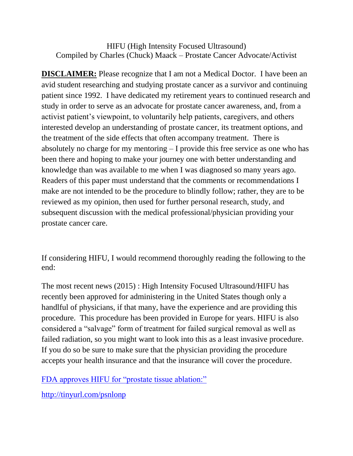HIFU (High Intensity Focused Ultrasound) Compiled by Charles (Chuck) Maack – Prostate Cancer Advocate/Activist

**DISCLAIMER:** Please recognize that I am not a Medical Doctor. I have been an avid student researching and studying prostate cancer as a survivor and continuing patient since 1992. I have dedicated my retirement years to continued research and study in order to serve as an advocate for prostate cancer awareness, and, from a activist patient's viewpoint, to voluntarily help patients, caregivers, and others interested develop an understanding of prostate cancer, its treatment options, and the treatment of the side effects that often accompany treatment. There is absolutely no charge for my mentoring – I provide this free service as one who has been there and hoping to make your journey one with better understanding and knowledge than was available to me when I was diagnosed so many years ago. Readers of this paper must understand that the comments or recommendations I make are not intended to be the procedure to blindly follow; rather, they are to be reviewed as my opinion, then used for further personal research, study, and subsequent discussion with the medical professional/physician providing your prostate cancer care.

If considering HIFU, I would recommend thoroughly reading the following to the end:

The most recent news (2015) : High Intensity Focused Ultrasound/HIFU has recently been approved for administering in the United States though only a handlful of physicians, if that many, have the experience and are providing this procedure. This procedure has been provided in Europe for years. HIFU is also considered a "salvage" form of treatment for failed surgical removal as well as failed radiation, so you might want to look into this as a least invasive procedure. If you do so be sure to make sure that the physician providing the procedure accepts your health insurance and that the insurance will cover the procedure.

[FDA approves HIFU for "prostate tissue](http://prostatecancerinfolink.net/2015/10/13/fda-approves-hifu-for-prostate-tissue-ablation/) ablation:"

<http://tinyurl.com/psnlonp>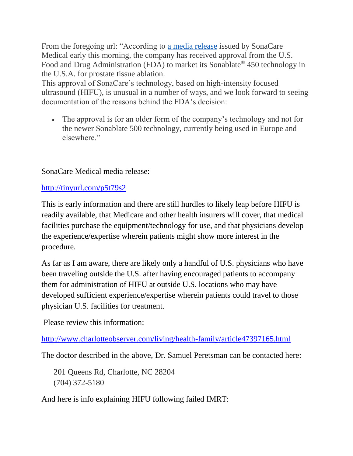From the foregoing url: "According to [a media release](http://sonacaremedical.com/sonacare-medical-receives-fda-clearance-for-its-sonablate-high-intensity-focused) issued by SonaCare Medical early this morning, the company has received approval from the U.S. Food and Drug Administration (FDA) to market its Sonablate® 450 technology in the U.S.A. for prostate tissue ablation.

This approval of SonaCare's technology, based on high-intensity focused ultrasound (HIFU), is unusual in a number of ways, and we look forward to seeing documentation of the reasons behind the FDA's decision:

 The approval is for an older form of the company's technology and not for the newer Sonablate 500 technology, currently being used in Europe and elsewhere."

SonaCare Medical media release:

<http://tinyurl.com/p5t79s2>

This is early information and there are still hurdles to likely leap before HIFU is readily available, that Medicare and other health insurers will cover, that medical facilities purchase the equipment/technology for use, and that physicians develop the experience/expertise wherein patients might show more interest in the procedure.

As far as I am aware, there are likely only a handful of U.S. physicians who have been traveling outside the U.S. after having encouraged patients to accompany them for administration of HIFU at outside U.S. locations who may have developed sufficient experience/expertise wherein patients could travel to those physician U.S. facilities for treatment.

Please review this information:

<http://www.charlotteobserver.com/living/health-family/article47397165.html>

The doctor described in the above, Dr. Samuel Peretsman can be contacted here:

201 Queens Rd, Charlotte, NC 28204 (704) 372-5180

And here is info explaining HIFU following failed IMRT: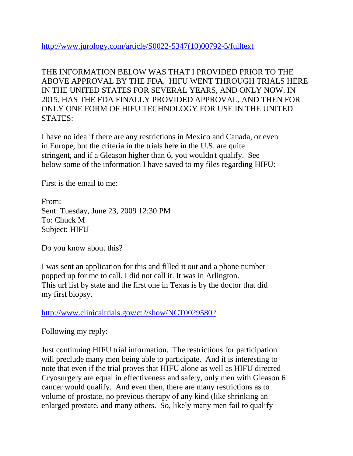[http://www.jurology.com/article/S0022-5347\(10\)00792-5/fulltext](http://www.jurology.com/article/S0022-5347(10)00792-5/fulltext)

THE INFORMATION BELOW WAS THAT I PROVIDED PRIOR TO THE ABOVE APPROVAL BY THE FDA. HIFU WENT THROUGH TRIALS HERE IN THE UNITED STATES FOR SEVERAL YEARS, AND ONLY NOW, IN 2015, HAS THE FDA FINALLY PROVIDED APPROVAL, AND THEN FOR ONLY ONE FORM OF HIFU TECHNOLOGY FOR USE IN THE UNITED STATES:

I have no idea if there are any restrictions in Mexico and Canada, or even in Europe, but the criteria in the trials here in the U.S. are quite stringent, and if a Gleason higher than 6, you wouldn't qualify. See below some of the information I have saved to my files regarding HIFU:

First is the email to me:

From: Sent: Tuesday, June 23, 2009 12:30 PM To: Chuck M Subject: HIFU

Do you know about this?

I was sent an application for this and filled it out and a phone number popped up for me to call. I did not call it. It was in Arlington. This url list by state and the first one in Texas is by the doctor that did my first biopsy.

<http://www.clinicaltrials.gov/ct2/show/NCT00295802>

Following my reply:

Just continuing HIFU trial information. The restrictions for participation will preclude many men being able to participate. And it is interesting to note that even if the trial proves that HIFU alone as well as HIFU directed Cryosurgery are equal in effectiveness and safety, only men with Gleason 6 cancer would qualify. And even then, there are many restrictions as to volume of prostate, no previous therapy of any kind (like shrinking an enlarged prostate, and many others. So, likely many men fail to qualify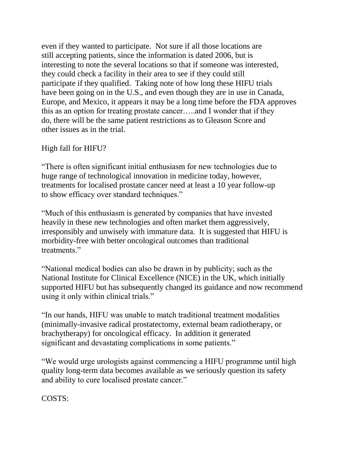even if they wanted to participate. Not sure if all those locations are still accepting patients, since the information is dated 2006, but is interesting to note the several locations so that if someone was interested, they could check a facility in their area to see if they could still participate if they qualified. Taking note of how long these HIFU trials have been going on in the U.S., and even though they are in use in Canada, Europe, and Mexico, it appears it may be a long time before the FDA approves this as an option for treating prostate cancer…..and I wonder that if they do, there will be the same patient restrictions as to Gleason Score and other issues as in the trial.

#### High fall for HIFU?

"There is often significant initial enthusiasm for new technologies due to huge range of technological innovation in medicine today, however, treatments for localised prostate cancer need at least a 10 year follow-up to show efficacy over standard techniques."

"Much of this enthusiasm is generated by companies that have invested heavily in these new technologies and often market them aggressively, irresponsibly and unwisely with immature data. It is suggested that HIFU is morbidity-free with better oncological outcomes than traditional treatments."

"National medical bodies can also be drawn in by publicity; such as the National Institute for Clinical Excellence (NICE) in the UK, which initially supported HIFU but has subsequently changed its guidance and now recommend using it only within clinical trials."

"In our hands, HIFU was unable to match traditional treatment modalities (minimally-invasive radical prostatectomy, external beam radiotherapy, or brachytherapy) for oncological efficacy. In addition it generated significant and devastating complications in some patients."

"We would urge urologists against commencing a HIFU programme until high quality long-term data becomes available as we seriously question its safety and ability to cure localised prostate cancer."

COSTS: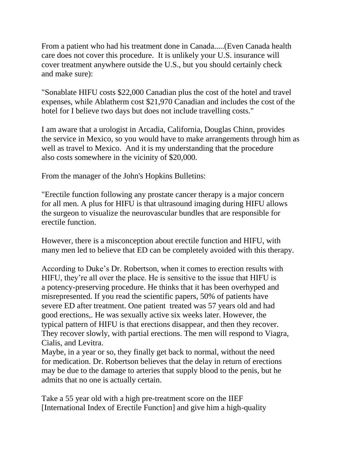From a patient who had his treatment done in Canada.....(Even Canada health care does not cover this procedure. It is unlikely your U.S. insurance will cover treatment anywhere outside the U.S., but you should certainly check and make sure):

"Sonablate HIFU costs \$22,000 Canadian plus the cost of the hotel and travel expenses, while Ablatherm cost \$21,970 Canadian and includes the cost of the hotel for I believe two days but does not include travelling costs."

I am aware that a urologist in Arcadia, California, Douglas Chinn, provides the service in Mexico, so you would have to make arrangements through him as well as travel to Mexico. And it is my understanding that the procedure also costs somewhere in the vicinity of \$20,000.

From the manager of the John's Hopkins Bulletins:

"Erectile function following any prostate cancer therapy is a major concern for all men. A plus for HIFU is that ultrasound imaging during HIFU allows the surgeon to visualize the neurovascular bundles that are responsible for erectile function.

However, there is a misconception about erectile function and HIFU, with many men led to believe that ED can be completely avoided with this therapy.

According to Duke's Dr. Robertson, when it comes to erection results with HIFU, they're all over the place. He is sensitive to the issue that HIFU is a potency-preserving procedure. He thinks that it has been overhyped and misrepresented. If you read the scientific papers, 50% of patients have severe ED after treatment. One patient treated was 57 years old and had good erections,. He was sexually active six weeks later. However, the typical pattern of HIFU is that erections disappear, and then they recover. They recover slowly, with partial erections. The men will respond to Viagra, Cialis, and Levitra.

Maybe, in a year or so, they finally get back to normal, without the need for medication. Dr. Robertson believes that the delay in return of erections may be due to the damage to arteries that supply blood to the penis, but he admits that no one is actually certain.

Take a 55 year old with a high pre-treatment score on the IIEF [International Index of Erectile Function] and give him a high-quality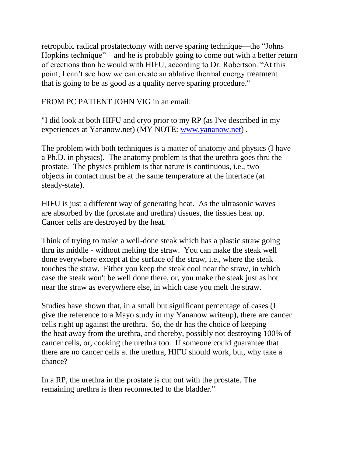retropubic radical prostatectomy with nerve sparing technique—the "Johns Hopkins technique"—and he is probably going to come out with a better return of erections than he would with HIFU, according to Dr. Robertson. "At this point, I can't see how we can create an ablative thermal energy treatment that is going to be as good as a quality nerve sparing procedure."

FROM PC PATIENT JOHN VIG in an email:

"I did look at both HIFU and cryo prior to my RP (as I've described in my experiences at Yananow.net) (MY NOTE: [www.yananow.net\)](http://www.yananow.net/) .

The problem with both techniques is a matter of anatomy and physics (I have a Ph.D. in physics). The anatomy problem is that the urethra goes thru the prostate. The physics problem is that nature is continuous, i.e., two objects in contact must be at the same temperature at the interface (at steady-state).

HIFU is just a different way of generating heat. As the ultrasonic waves are absorbed by the (prostate and urethra) tissues, the tissues heat up. Cancer cells are destroyed by the heat.

Think of trying to make a well-done steak which has a plastic straw going thru its middle - without melting the straw. You can make the steak well done everywhere except at the surface of the straw, i.e., where the steak touches the straw. Either you keep the steak cool near the straw, in which case the steak won't be well done there, or, you make the steak just as hot near the straw as everywhere else, in which case you melt the straw.

Studies have shown that, in a small but significant percentage of cases (I give the reference to a Mayo study in my Yananow writeup), there are cancer cells right up against the urethra. So, the dr has the choice of keeping the heat away from the urethra, and thereby, possibly not destroying 100% of cancer cells, or, cooking the urethra too. If someone could guarantee that there are no cancer cells at the urethra, HIFU should work, but, why take a chance?

In a RP, the urethra in the prostate is cut out with the prostate. The remaining urethra is then reconnected to the bladder."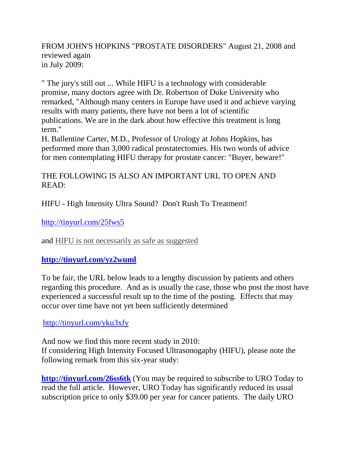#### FROM JOHN'S HOPKINS "PROSTATE DISORDERS" August 21, 2008 and reviewed again in July 2009:

" The jury's still out ... While HIFU is a technology with considerable promise, many doctors agree with Dr. Robertson of Duke University who remarked, "Although many centers in Europe have used it and achieve varying results with many patients, there have not been a lot of scientific publications. We are in the dark about how effective this treatment is long term."

H. Ballentine Carter, M.D., Professor of Urology at Johns Hopkins, has performed more than 3,000 radical prostatectomies. His two words of advice for men contemplating HIFU therapy for prostate cancer: "Buyer, beware!"

## THE FOLLOWING IS ALSO AN IMPORTANT URL TO OPEN AND READ:

HIFU - High Intensity Ultra Sound? Don't Rush To Treatment!

<http://tinyurl.com/25fws5>

and [HIFU is not necessarily as safe as](http://prostatecancerinfolink.net/2010/01/22/hifu-is-not-necessarily-as-safe-as-suggested/) suggested

# **<http://tinyurl.com/yz2wuml>**

To be fair, the URL below leads to a lengthy discussion by patients and others regarding this procedure. And as is usually the case, those who post the most have experienced a successful result up to the time of the posting. Effects that may occur over time have not yet been sufficiently determined

## <http://tinyurl.com/yku3xfy>

And now we find this more recent study in 2010: If considering High Intensity Focused Ultrasonogaphy (HIFU), please note the following remark from this six-year study:

**<http://tinyurl.com/26ss6tk>** (You may be required to subscribe to URO Today to read the full article. However, URO Today has significantly reduced its usual subscription price to only \$39.00 per year for cancer patients. The daily URO